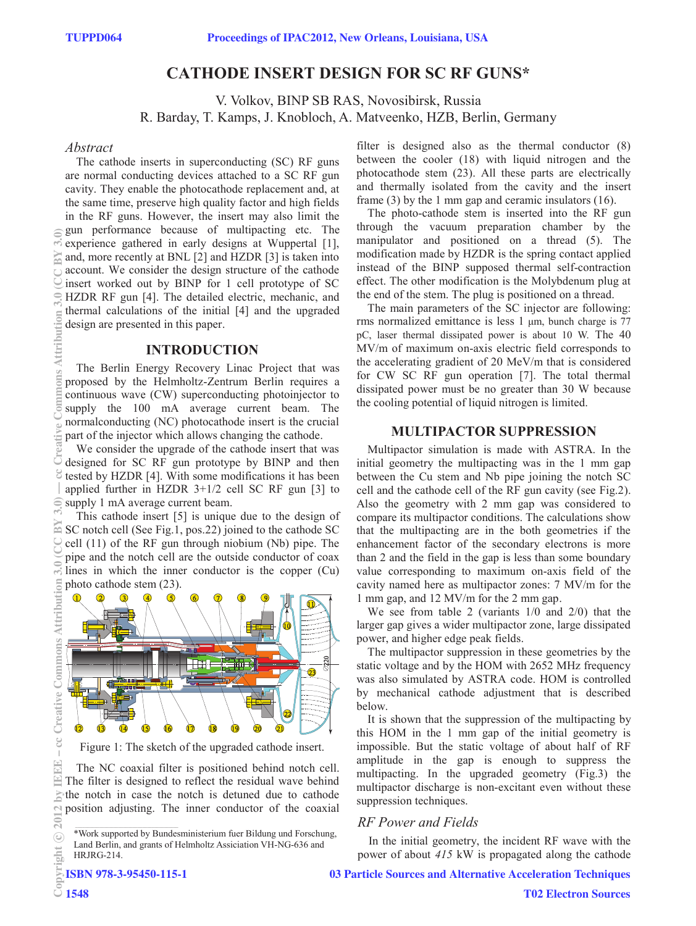# **CATHODE INSERT DESIGN FOR SC RF GUNS\***

V. Volkov, BINP SB RAS, Novosibirsk, Russia R. Barday, T. Kamps, J. Knobloch, A. Matveenko, HZB, Berlin, Germany

#### *Abstract*

The cathode inserts in superconducting (SC) RF guns are normal conducting devices attached to a SC RF gun cavity. They enable the photocathode replacement and, at the same time, preserve high quality factor and high fields in the RF guns. However, the insert may also limit the gun performance because of multipacting etc. The experience gathered in early designs at Wuppertal [1], and, more recently at BNL [2] and HZDR [3] is taken into account. We consider the design structure of the cathode insert worked out by BINP for 1 cell prototype of SC HZDR RF gun [4]. The detailed electric, mechanic, and thermal calculations of the initial [4] and the upgraded design are presented in this paper.

### **INTRODUCTION**

The Berlin Energy Recovery Linac Project that was proposed by the Helmholtz-Zentrum Berlin requires a continuous wave (CW) superconducting photoinjector to supply the 100 mA average current beam. The normalconducting (NC) photocathode insert is the crucial part of the injector which allows changing the cathode.

We consider the upgrade of the cathode insert that was designed for SC RF gun prototype by BINP and then tested by HZDR [4]. With some modifications it has been applied further in HZDR 3+1/2 cell SC RF gun [3] to supply 1 mA average current beam.

This cathode insert [5] is unique due to the design of SC notch cell (See Fig.1, pos.22) joined to the cathode SC cell (11) of the RF gun through niobium (Nb) pipe. The pipe and the notch cell are the outside conductor of coax lines in which the inner conductor is the copper (Cu) photo cathode stem (23).



Figure 1: The sketch of the upgraded cathode insert.

The NC coaxial filter is positioned behind notch cell. The filter is designed to reflect the residual wave behind  $\geq$  the notch in case the notch is detuned due to cathode position adjusting. The inner conductor of the coaxial

ISBN 978-3-95450-115-1

filter is designed also as the thermal conductor (8) between the cooler (18) with liquid nitrogen and the photocathode stem (23). All these parts are electrically and thermally isolated from the cavity and the insert frame (3) by the 1 mm gap and ceramic insulators (16).

The photo-cathode stem is inserted into the RF gun through the vacuum preparation chamber by the manipulator and positioned on a thread (5). The modification made by HZDR is the spring contact applied instead of the BINP supposed thermal self-contraction effect. The other modification is the Molybdenum plug at the end of the stem. The plug is positioned on a thread.

The main parameters of the SC injector are following: rms normalized emittance is less 1 μm, bunch charge is 77 pC, laser thermal dissipated power is about 10 W. The 40 MV/m of maximum on-axis electric field corresponds to the accelerating gradient of 20 MeV/m that is considered for CW SC RF gun operation [7]. The total thermal dissipated power must be no greater than 30 W because the cooling potential of liquid nitrogen is limited.

# **MULTIPACTOR SUPPRESSION**

Multipactor simulation is made with ASTRA. In the initial geometry the multipacting was in the 1 mm gap between the Cu stem and Nb pipe joining the notch SC cell and the cathode cell of the RF gun cavity (see Fig.2). Also the geometry with 2 mm gap was considered to compare its multipactor conditions. The calculations show that the multipacting are in the both geometries if the enhancement factor of the secondary electrons is more than 2 and the field in the gap is less than some boundary value corresponding to maximum on-axis field of the cavity named here as multipactor zones: 7 MV/m for the 1 mm gap, and 12 MV/m for the 2 mm gap.

We see from table 2 (variants 1/0 and 2/0) that the larger gap gives a wider multipactor zone, large dissipated power, and higher edge peak fields.

The multipactor suppression in these geometries by the static voltage and by the HOM with 2652 MHz frequency was also simulated by ASTRA code. HOM is controlled by mechanical cathode adjustment that is described below.

It is shown that the suppression of the multipacting by this HOM in the 1 mm gap of the initial geometry is impossible. But the static voltage of about half of RF amplitude in the gap is enough to suppress the multipacting. In the upgraded geometry (Fig.3) the multipactor discharge is non-excitant even without these suppression techniques.

# *RF Power and Fields*

In the initial geometry, the incident RF wave with the power of about *415* kW is propagated along the cathode

# 03 Particle Sources and Alternative Acceleration Techniques

c○

 $\Xi$ 

€

ommons Affribution

Č

Creative

 $\rm{C}$ 

뜭 国

<sup>\*</sup>Work supported by Bundesministerium fuer Bildung und Forschung, Land Berlin, and grants of Helmholtz Assiciation VH-NG-636 and HRJRG-214.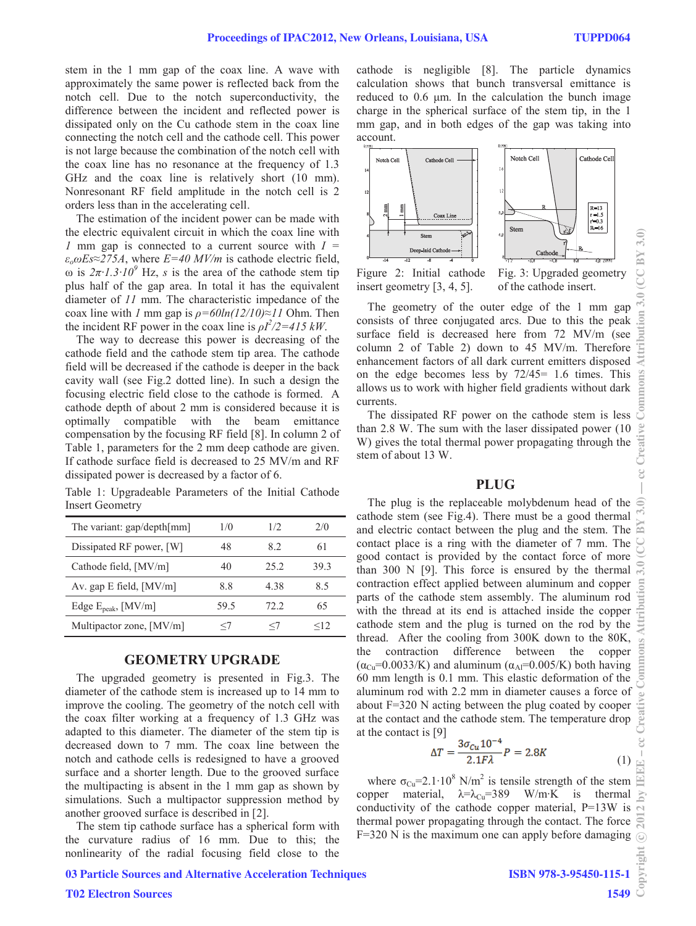stem in the 1 mm gap of the coax line. A wave with approximately the same power is reflected back from the notch cell. Due to the notch superconductivity, the difference between the incident and reflected power is dissipated only on the Cu cathode stem in the coax line connecting the notch cell and the cathode cell. This power is not large because the combination of the notch cell with the coax line has no resonance at the frequency of 1.3 GHz and the coax line is relatively short (10 mm). Nonresonant RF field amplitude in the notch cell is 2 orders less than in the accelerating cell.

The estimation of the incident power can be made with the electric equivalent circuit in which the coax line with *1* mm gap is connected to a current source with *I =*   $\varepsilon_o \omega E s \approx 275A$ , where  $E = 40$  *MV/m* is cathode electric field, ω is  $2π·1.3·10<sup>9</sup>$  Hz, *s* is the area of the cathode stem tip plus half of the gap area. In total it has the equivalent diameter of *11* mm. The characteristic impedance of the coax line with *l* mm gap is  $\rho = 60ln(12/10) \approx 11$  Ohm. Then the incident RF power in the coax line is  $\rho I^2/2 = 415$  kW.

The way to decrease this power is decreasing of the cathode field and the cathode stem tip area. The cathode field will be decreased if the cathode is deeper in the back cavity wall (see Fig.2 dotted line). In such a design the focusing electric field close to the cathode is formed. A cathode depth of about 2 mm is considered because it is optimally compatible with the beam emittance compensation by the focusing RF field [8]. In column 2 of Table 1, parameters for the 2 mm deep cathode are given. If cathode surface field is decreased to 25 MV/m and RF dissipated power is decreased by a factor of 6.

|  | Table 1: Upgradeable Parameters of the Initial Cathode |  |  |  |
|--|--------------------------------------------------------|--|--|--|
|  | <b>Insert Geometry</b>                                 |  |  |  |

| 1/0   | 1/2     | 2/0       |
|-------|---------|-----------|
| 48    | 82      | 61        |
| 40    | 25.2    | 393       |
| 8.8   | 4 3 8   | 85        |
| 59.5  | 72.2    | 65        |
| $<$ / | $\lt$ / | $\leq$ 12 |
|       |         |           |

#### **GEOMETRY UPGRADE**

The upgraded geometry is presented in Fig.3. The diameter of the cathode stem is increased up to 14 mm to improve the cooling. The geometry of the notch cell with the coax filter working at a frequency of 1.3 GHz was adapted to this diameter. The diameter of the stem tip is decreased down to 7 mm. The coax line between the notch and cathode cells is redesigned to have a grooved surface and a shorter length. Due to the grooved surface the multipacting is absent in the 1 mm gap as shown by simulations. Such a multipactor suppression method by another grooved surface is described in [2].

The stem tip cathode surface has a spherical form with the curvature radius of 16 mm. Due to this; the nonlinearity of the radial focusing field close to the

cathode is negligible [8]. The particle dynamics calculation shows that bunch transversal emittance is reduced to 0.6 μm. In the calculation the bunch image charge in the spherical surface of the stem tip, in the 1 mm gap, and in both edges of the gap was taking into account.



Figure 2: Initial cathode insert geometry [3, 4, 5].

Fig. 3: Upgraded geometry of the cathode insert.

 $\frac{1}{2}$ .  $\frac{3.0}{2}$  (CC BY 3.0)

북

The geometry of the outer edge of the 1 mm gap consists of three conjugated arcs. Due to this the peak surface field is decreased here from 72 MV/m (see column 2 of Table 2) down to 45 MV/m. Therefore enhancement factors of all dark current emitters disposed on the edge becomes less by 72/45= 1.6 times. This allows us to work with higher field gradients without dark currents.

The dissipated RF power on the cathode stem is less than 2.8 W. The sum with the laser dissipated power (10 W) gives the total thermal power propagating through the stem of about 13 W.

#### **PLUG**

The plug is the replaceable molybdenum head of the cathode stem (see Fig.4). There must be a good thermal and electric contact between the plug and the stem. The contact place is a ring with the diameter of 7 mm. The good contact is provided by the contact force of more than 300 N [9]. This force is ensured by the thermal contraction effect applied between aluminum and copper parts of the cathode stem assembly. The aluminum rod with the thread at its end is attached inside the copper cathode stem and the plug is turned on the rod by the thread. After the cooling from 300K down to the 80K, the contraction difference between the copper  $(\alpha_{\text{Cu}}=0.0033/K)$  and aluminum  $(\alpha_{\text{Al}}=0.005/K)$  both having 60 mm length is 0.1 mm. This elastic deformation of the aluminum rod with 2.2 mm in diameter causes a force of about F=320 N acting between the plug coated by cooper at the contact and the cathode stem. The temperature drop at the contact is [9]

$$
\Delta T = \frac{3\sigma_{Cu}10^{-4}}{2.1F\lambda}P = 2.8K\tag{1}
$$

where  $\sigma_{Cu} = 2.1 \cdot 10^8$  N/m<sup>2</sup> is tensile strength of the stem copper material,  $\lambda = \lambda_{Cu} = 389$  W/m⋅K is thermal conductivity of the cathode copper material, P=13W is thermal power propagating through the contact. The force F=320 N is the maximum one can apply before damaging

# 03 Particle Sources and Alternative Acceleration Techniques

### T02 Electron Sources